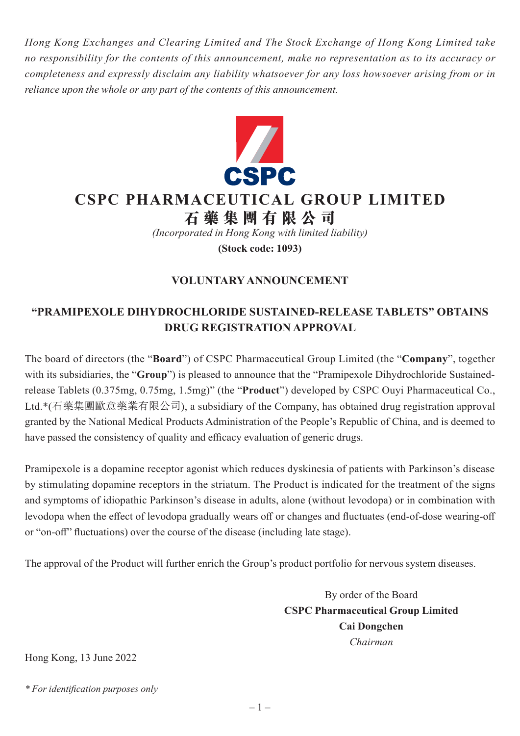*Hong Kong Exchanges and Clearing Limited and The Stock Exchange of Hong Kong Limited take no responsibility for the contents of this announcement, make no representation as to its accuracy or completeness and expressly disclaim any liability whatsoever for any loss howsoever arising from or in reliance upon the whole or any part of the contents of this announcement.*



## **CSPC PHARMACEUTICAL GROUP LIMITED**

**石藥集團 有 限公司**

*(Incorporated in Hong Kong with limited liability)*

**(Stock code: 1093)**

## **VOLUNTARY ANNOUNCEMENT**

## **"PRAMIPEXOLE DIHYDROCHLORIDE SUSTAINED-RELEASE TABLETS" OBTAINS DRUG REGISTRATION APPROVAL**

The board of directors (the "**Board**") of CSPC Pharmaceutical Group Limited (the "**Company**", together with its subsidiaries, the "**Group**") is pleased to announce that the "Pramipexole Dihydrochloride Sustainedrelease Tablets (0.375mg, 0.75mg, 1.5mg)" (the "**Product**") developed by CSPC Ouyi Pharmaceutical Co., Ltd.\*(石藥集團歐意藥業有限公司), a subsidiary of the Company, has obtained drug registration approval granted by the National Medical Products Administration of the People's Republic of China, and is deemed to have passed the consistency of quality and efficacy evaluation of generic drugs.

Pramipexole is a dopamine receptor agonist which reduces dyskinesia of patients with Parkinson's disease by stimulating dopamine receptors in the striatum. The Product is indicated for the treatment of the signs and symptoms of idiopathic Parkinson's disease in adults, alone (without levodopa) or in combination with levodopa when the effect of levodopa gradually wears off or changes and fluctuates (end-of-dose wearing-off or "on-off" fluctuations) over the course of the disease (including late stage).

The approval of the Product will further enrich the Group's product portfolio for nervous system diseases.

By order of the Board **CSPC Pharmaceutical Group Limited Cai Dongchen** *Chairman*

Hong Kong, 13 June 2022

*\* For identification purposes only*